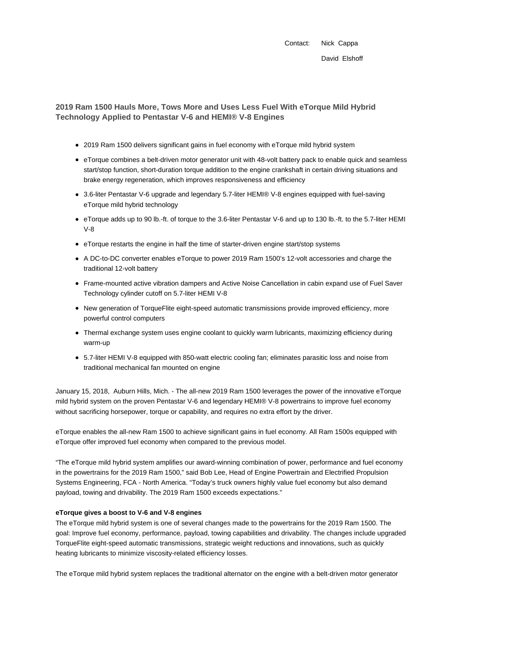Contact: Nick Cappa David Elshoff

# **2019 Ram 1500 Hauls More, Tows More and Uses Less Fuel With eTorque Mild Hybrid Technology Applied to Pentastar V-6 and HEMI® V-8 Engines**

- 2019 Ram 1500 delivers significant gains in fuel economy with eTorque mild hybrid system
- eTorque combines a belt-driven motor generator unit with 48-volt battery pack to enable quick and seamless start/stop function, short-duration torque addition to the engine crankshaft in certain driving situations and brake energy regeneration, which improves responsiveness and efficiency
- 3.6-liter Pentastar V-6 upgrade and legendary 5.7-liter HEMI® V-8 engines equipped with fuel-saving eTorque mild hybrid technology
- eTorque adds up to 90 lb.-ft. of torque to the 3.6-liter Pentastar V-6 and up to 130 lb.-ft. to the 5.7-liter HEMI V-8
- eTorque restarts the engine in half the time of starter-driven engine start/stop systems
- A DC-to-DC converter enables eTorque to power 2019 Ram 1500's 12-volt accessories and charge the traditional 12-volt battery
- Frame-mounted active vibration dampers and Active Noise Cancellation in cabin expand use of Fuel Saver Technology cylinder cutoff on 5.7-liter HEMI V-8
- New generation of TorqueFlite eight-speed automatic transmissions provide improved efficiency, more powerful control computers
- Thermal exchange system uses engine coolant to quickly warm lubricants, maximizing efficiency during warm-up
- 5.7-liter HEMI V-8 equipped with 850-watt electric cooling fan; eliminates parasitic loss and noise from traditional mechanical fan mounted on engine

January 15, 2018, Auburn Hills, Mich. - The all-new 2019 Ram 1500 leverages the power of the innovative eTorque mild hybrid system on the proven Pentastar V-6 and legendary HEMI® V-8 powertrains to improve fuel economy without sacrificing horsepower, torque or capability, and requires no extra effort by the driver.

eTorque enables the all-new Ram 1500 to achieve significant gains in fuel economy. All Ram 1500s equipped with eTorque offer improved fuel economy when compared to the previous model.

"The eTorque mild hybrid system amplifies our award-winning combination of power, performance and fuel economy in the powertrains for the 2019 Ram 1500," said Bob Lee, Head of Engine Powertrain and Electrified Propulsion Systems Engineering, FCA - North America. "Today's truck owners highly value fuel economy but also demand payload, towing and drivability. The 2019 Ram 1500 exceeds expectations."

## **eTorque gives a boost to V-6 and V-8 engines**

The eTorque mild hybrid system is one of several changes made to the powertrains for the 2019 Ram 1500. The goal: Improve fuel economy, performance, payload, towing capabilities and drivability. The changes include upgraded TorqueFlite eight-speed automatic transmissions, strategic weight reductions and innovations, such as quickly heating lubricants to minimize viscosity-related efficiency losses.

The eTorque mild hybrid system replaces the traditional alternator on the engine with a belt-driven motor generator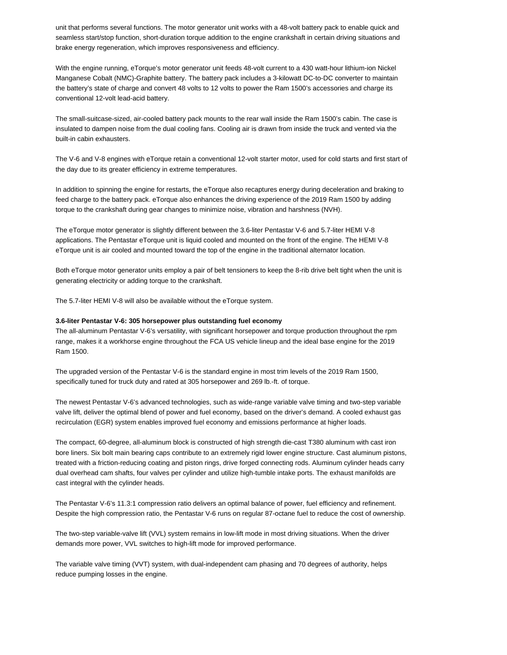unit that performs several functions. The motor generator unit works with a 48-volt battery pack to enable quick and seamless start/stop function, short-duration torque addition to the engine crankshaft in certain driving situations and brake energy regeneration, which improves responsiveness and efficiency.

With the engine running, eTorque's motor generator unit feeds 48-volt current to a 430 watt-hour lithium-ion Nickel Manganese Cobalt (NMC)-Graphite battery. The battery pack includes a 3-kilowatt DC-to-DC converter to maintain the battery's state of charge and convert 48 volts to 12 volts to power the Ram 1500's accessories and charge its conventional 12-volt lead-acid battery.

The small-suitcase-sized, air-cooled battery pack mounts to the rear wall inside the Ram 1500's cabin. The case is insulated to dampen noise from the dual cooling fans. Cooling air is drawn from inside the truck and vented via the built-in cabin exhausters.

The V-6 and V-8 engines with eTorque retain a conventional 12-volt starter motor, used for cold starts and first start of the day due to its greater efficiency in extreme temperatures.

In addition to spinning the engine for restarts, the eTorque also recaptures energy during deceleration and braking to feed charge to the battery pack. eTorque also enhances the driving experience of the 2019 Ram 1500 by adding torque to the crankshaft during gear changes to minimize noise, vibration and harshness (NVH).

The eTorque motor generator is slightly different between the 3.6-liter Pentastar V-6 and 5.7-liter HEMI V-8 applications. The Pentastar eTorque unit is liquid cooled and mounted on the front of the engine. The HEMI V-8 eTorque unit is air cooled and mounted toward the top of the engine in the traditional alternator location.

Both eTorque motor generator units employ a pair of belt tensioners to keep the 8-rib drive belt tight when the unit is generating electricity or adding torque to the crankshaft.

The 5.7-liter HEMI V-8 will also be available without the eTorque system.

#### **3.6-liter Pentastar V-6: 305 horsepower plus outstanding fuel economy**

The all-aluminum Pentastar V-6's versatility, with significant horsepower and torque production throughout the rpm range, makes it a workhorse engine throughout the FCA US vehicle lineup and the ideal base engine for the 2019 Ram 1500.

The upgraded version of the Pentastar V-6 is the standard engine in most trim levels of the 2019 Ram 1500, specifically tuned for truck duty and rated at 305 horsepower and 269 lb.-ft. of torque.

The newest Pentastar V-6's advanced technologies, such as wide-range variable valve timing and two-step variable valve lift, deliver the optimal blend of power and fuel economy, based on the driver's demand. A cooled exhaust gas recirculation (EGR) system enables improved fuel economy and emissions performance at higher loads.

The compact, 60-degree, all-aluminum block is constructed of high strength die-cast T380 aluminum with cast iron bore liners. Six bolt main bearing caps contribute to an extremely rigid lower engine structure. Cast aluminum pistons, treated with a friction-reducing coating and piston rings, drive forged connecting rods. Aluminum cylinder heads carry dual overhead cam shafts, four valves per cylinder and utilize high-tumble intake ports. The exhaust manifolds are cast integral with the cylinder heads.

The Pentastar V-6's 11.3:1 compression ratio delivers an optimal balance of power, fuel efficiency and refinement. Despite the high compression ratio, the Pentastar V-6 runs on regular 87-octane fuel to reduce the cost of ownership.

The two-step variable-valve lift (VVL) system remains in low-lift mode in most driving situations. When the driver demands more power, VVL switches to high-lift mode for improved performance.

The variable valve timing (VVT) system, with dual-independent cam phasing and 70 degrees of authority, helps reduce pumping losses in the engine.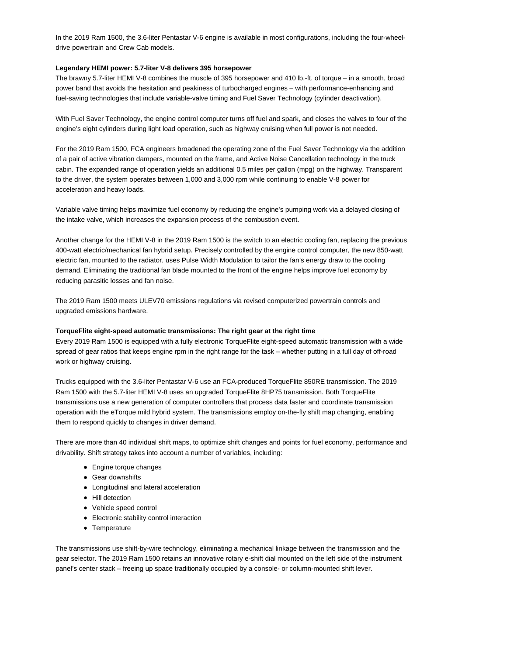In the 2019 Ram 1500, the 3.6-liter Pentastar V-6 engine is available in most configurations, including the four-wheeldrive powertrain and Crew Cab models.

## **Legendary HEMI power: 5.7-liter V-8 delivers 395 horsepower**

The brawny 5.7-liter HEMI V-8 combines the muscle of 395 horsepower and 410 lb.-ft. of torque – in a smooth, broad power band that avoids the hesitation and peakiness of turbocharged engines – with performance-enhancing and fuel-saving technologies that include variable-valve timing and Fuel Saver Technology (cylinder deactivation).

With Fuel Saver Technology, the engine control computer turns off fuel and spark, and closes the valves to four of the engine's eight cylinders during light load operation, such as highway cruising when full power is not needed.

For the 2019 Ram 1500, FCA engineers broadened the operating zone of the Fuel Saver Technology via the addition of a pair of active vibration dampers, mounted on the frame, and Active Noise Cancellation technology in the truck cabin. The expanded range of operation yields an additional 0.5 miles per gallon (mpg) on the highway. Transparent to the driver, the system operates between 1,000 and 3,000 rpm while continuing to enable V-8 power for acceleration and heavy loads.

Variable valve timing helps maximize fuel economy by reducing the engine's pumping work via a delayed closing of the intake valve, which increases the expansion process of the combustion event.

Another change for the HEMI V-8 in the 2019 Ram 1500 is the switch to an electric cooling fan, replacing the previous 400-watt electric/mechanical fan hybrid setup. Precisely controlled by the engine control computer, the new 850-watt electric fan, mounted to the radiator, uses Pulse Width Modulation to tailor the fan's energy draw to the cooling demand. Eliminating the traditional fan blade mounted to the front of the engine helps improve fuel economy by reducing parasitic losses and fan noise.

The 2019 Ram 1500 meets ULEV70 emissions regulations via revised computerized powertrain controls and upgraded emissions hardware.

## **TorqueFlite eight-speed automatic transmissions: The right gear at the right time**

Every 2019 Ram 1500 is equipped with a fully electronic TorqueFlite eight-speed automatic transmission with a wide spread of gear ratios that keeps engine rpm in the right range for the task – whether putting in a full day of off-road work or highway cruising.

Trucks equipped with the 3.6-liter Pentastar V-6 use an FCA-produced TorqueFlite 850RE transmission. The 2019 Ram 1500 with the 5.7-liter HEMI V-8 uses an upgraded TorqueFlite 8HP75 transmission. Both TorqueFlite transmissions use a new generation of computer controllers that process data faster and coordinate transmission operation with the eTorque mild hybrid system. The transmissions employ on-the-fly shift map changing, enabling them to respond quickly to changes in driver demand.

There are more than 40 individual shift maps, to optimize shift changes and points for fuel economy, performance and drivability. Shift strategy takes into account a number of variables, including:

- Engine torque changes
- Gear downshifts
- Longitudinal and lateral acceleration
- Hill detection
- Vehicle speed control
- Electronic stability control interaction
- Temperature

The transmissions use shift-by-wire technology, eliminating a mechanical linkage between the transmission and the gear selector. The 2019 Ram 1500 retains an innovative rotary e-shift dial mounted on the left side of the instrument panel's center stack – freeing up space traditionally occupied by a console- or column-mounted shift lever.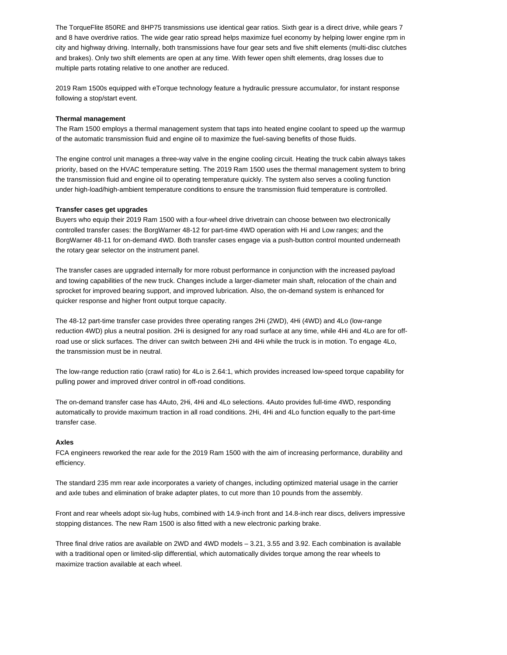The TorqueFlite 850RE and 8HP75 transmissions use identical gear ratios. Sixth gear is a direct drive, while gears 7 and 8 have overdrive ratios. The wide gear ratio spread helps maximize fuel economy by helping lower engine rpm in city and highway driving. Internally, both transmissions have four gear sets and five shift elements (multi-disc clutches and brakes). Only two shift elements are open at any time. With fewer open shift elements, drag losses due to multiple parts rotating relative to one another are reduced.

2019 Ram 1500s equipped with eTorque technology feature a hydraulic pressure accumulator, for instant response following a stop/start event.

#### **Thermal management**

The Ram 1500 employs a thermal management system that taps into heated engine coolant to speed up the warmup of the automatic transmission fluid and engine oil to maximize the fuel-saving benefits of those fluids.

The engine control unit manages a three-way valve in the engine cooling circuit. Heating the truck cabin always takes priority, based on the HVAC temperature setting. The 2019 Ram 1500 uses the thermal management system to bring the transmission fluid and engine oil to operating temperature quickly. The system also serves a cooling function under high-load/high-ambient temperature conditions to ensure the transmission fluid temperature is controlled.

#### **Transfer cases get upgrades**

Buyers who equip their 2019 Ram 1500 with a four-wheel drive drivetrain can choose between two electronically controlled transfer cases: the BorgWarner 48-12 for part-time 4WD operation with Hi and Low ranges; and the BorgWarner 48-11 for on-demand 4WD. Both transfer cases engage via a push-button control mounted underneath the rotary gear selector on the instrument panel.

The transfer cases are upgraded internally for more robust performance in conjunction with the increased payload and towing capabilities of the new truck. Changes include a larger-diameter main shaft, relocation of the chain and sprocket for improved bearing support, and improved lubrication. Also, the on-demand system is enhanced for quicker response and higher front output torque capacity.

The 48-12 part-time transfer case provides three operating ranges 2Hi (2WD), 4Hi (4WD) and 4Lo (low-range reduction 4WD) plus a neutral position. 2Hi is designed for any road surface at any time, while 4Hi and 4Lo are for offroad use or slick surfaces. The driver can switch between 2Hi and 4Hi while the truck is in motion. To engage 4Lo, the transmission must be in neutral.

The low-range reduction ratio (crawl ratio) for 4Lo is 2.64:1, which provides increased low-speed torque capability for pulling power and improved driver control in off-road conditions.

The on-demand transfer case has 4Auto, 2Hi, 4Hi and 4Lo selections. 4Auto provides full-time 4WD, responding automatically to provide maximum traction in all road conditions. 2Hi, 4Hi and 4Lo function equally to the part-time transfer case.

#### **Axles**

FCA engineers reworked the rear axle for the 2019 Ram 1500 with the aim of increasing performance, durability and efficiency.

The standard 235 mm rear axle incorporates a variety of changes, including optimized material usage in the carrier and axle tubes and elimination of brake adapter plates, to cut more than 10 pounds from the assembly.

Front and rear wheels adopt six-lug hubs, combined with 14.9-inch front and 14.8-inch rear discs, delivers impressive stopping distances. The new Ram 1500 is also fitted with a new electronic parking brake.

Three final drive ratios are available on 2WD and 4WD models – 3.21, 3.55 and 3.92. Each combination is available with a traditional open or limited-slip differential, which automatically divides torque among the rear wheels to maximize traction available at each wheel.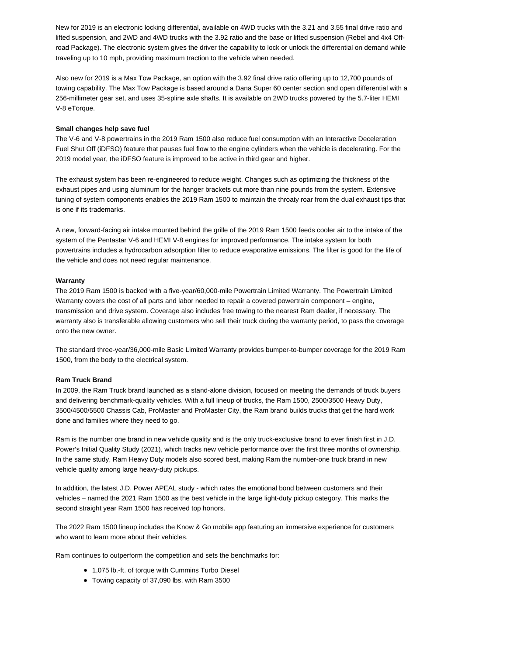New for 2019 is an electronic locking differential, available on 4WD trucks with the 3.21 and 3.55 final drive ratio and lifted suspension, and 2WD and 4WD trucks with the 3.92 ratio and the base or lifted suspension (Rebel and 4x4 Offroad Package). The electronic system gives the driver the capability to lock or unlock the differential on demand while traveling up to 10 mph, providing maximum traction to the vehicle when needed.

Also new for 2019 is a Max Tow Package, an option with the 3.92 final drive ratio offering up to 12,700 pounds of towing capability. The Max Tow Package is based around a Dana Super 60 center section and open differential with a 256-millimeter gear set, and uses 35-spline axle shafts. It is available on 2WD trucks powered by the 5.7-liter HEMI V-8 eTorque.

### **Small changes help save fuel**

The V-6 and V-8 powertrains in the 2019 Ram 1500 also reduce fuel consumption with an Interactive Deceleration Fuel Shut Off (iDFSO) feature that pauses fuel flow to the engine cylinders when the vehicle is decelerating. For the 2019 model year, the iDFSO feature is improved to be active in third gear and higher.

The exhaust system has been re-engineered to reduce weight. Changes such as optimizing the thickness of the exhaust pipes and using aluminum for the hanger brackets cut more than nine pounds from the system. Extensive tuning of system components enables the 2019 Ram 1500 to maintain the throaty roar from the dual exhaust tips that is one if its trademarks.

A new, forward-facing air intake mounted behind the grille of the 2019 Ram 1500 feeds cooler air to the intake of the system of the Pentastar V-6 and HEMI V-8 engines for improved performance. The intake system for both powertrains includes a hydrocarbon adsorption filter to reduce evaporative emissions. The filter is good for the life of the vehicle and does not need regular maintenance.

## **Warranty**

The 2019 Ram 1500 is backed with a five-year/60,000-mile Powertrain Limited Warranty. The Powertrain Limited Warranty covers the cost of all parts and labor needed to repair a covered powertrain component – engine, transmission and drive system. Coverage also includes free towing to the nearest Ram dealer, if necessary. The warranty also is transferable allowing customers who sell their truck during the warranty period, to pass the coverage onto the new owner.

The standard three-year/36,000-mile Basic Limited Warranty provides bumper-to-bumper coverage for the 2019 Ram 1500, from the body to the electrical system.

## **Ram Truck Brand**

In 2009, the Ram Truck brand launched as a stand-alone division, focused on meeting the demands of truck buyers and delivering benchmark-quality vehicles. With a full lineup of trucks, the Ram 1500, 2500/3500 Heavy Duty, 3500/4500/5500 Chassis Cab, ProMaster and ProMaster City, the Ram brand builds trucks that get the hard work done and families where they need to go.

Ram is the number one brand in new vehicle quality and is the only truck-exclusive brand to ever finish first in J.D. Power's Initial Quality Study (2021), which tracks new vehicle performance over the first three months of ownership. In the same study, Ram Heavy Duty models also scored best, making Ram the number-one truck brand in new vehicle quality among large heavy-duty pickups.

In addition, the latest J.D. Power APEAL study - which rates the emotional bond between customers and their vehicles – named the 2021 Ram 1500 as the best vehicle in the large light-duty pickup category. This marks the second straight year Ram 1500 has received top honors.

The 2022 Ram 1500 lineup includes the Know & Go mobile app featuring an immersive experience for customers who want to learn more about their vehicles.

Ram continues to outperform the competition and sets the benchmarks for:

- 1,075 lb.-ft. of torque with Cummins Turbo Diesel
- Towing capacity of 37,090 lbs. with Ram 3500